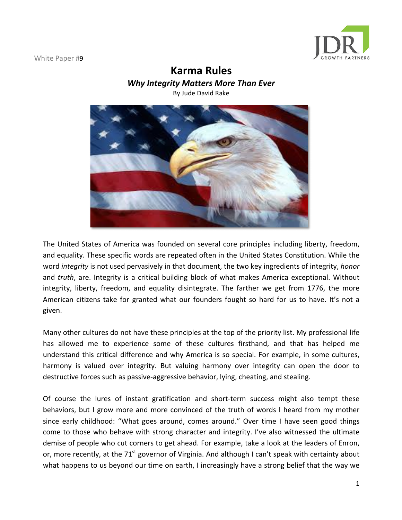

# **Karma Rules**

**Why Integrity Matters More Than Ever** 

By Jude David Rake



The United States of America was founded on several core principles including liberty, freedom, and equality. These specific words are repeated often in the United States Constitution. While the word *integrity* is not used pervasively in that document, the two key ingredients of integrity, *honor* and *truth*, are. Integrity is a critical building block of what makes America exceptional. Without integrity, liberty, freedom, and equality disintegrate. The farther we get from 1776, the more American citizens take for granted what our founders fought so hard for us to have. It's not a given.

Many other cultures do not have these principles at the top of the priority list. My professional life has allowed me to experience some of these cultures firsthand, and that has helped me understand this critical difference and why America is so special. For example, in some cultures, harmony is valued over integrity. But valuing harmony over integrity can open the door to destructive forces such as passive-aggressive behavior, lying, cheating, and stealing.

Of course the lures of instant gratification and short-term success might also tempt these behaviors, but I grow more and more convinced of the truth of words I heard from my mother since early childhood: "What goes around, comes around." Over time I have seen good things come to those who behave with strong character and integrity. I've also witnessed the ultimate demise of people who cut corners to get ahead. For example, take a look at the leaders of Enron, or, more recently, at the 71<sup>st</sup> governor of Virginia. And although I can't speak with certainty about what happens to us beyond our time on earth, I increasingly have a strong belief that the way we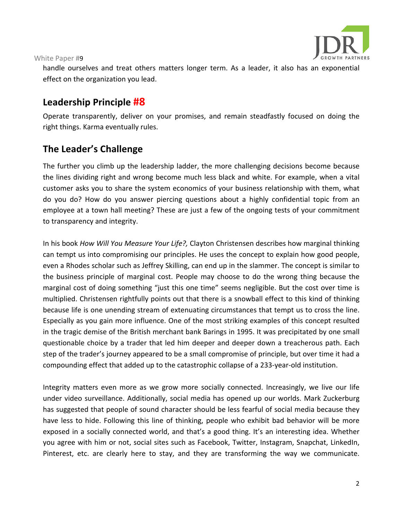

handle ourselves and treat others matters longer term. As a leader, it also has an exponential effect on the organization you lead.

## **Leadership Principle #8**

Operate transparently, deliver on your promises, and remain steadfastly focused on doing the right things. Karma eventually rules.

# **The Leader's Challenge**

The further you climb up the leadership ladder, the more challenging decisions become because the lines dividing right and wrong become much less black and white. For example, when a vital customer asks you to share the system economics of your business relationship with them, what do you do? How do you answer piercing questions about a highly confidential topic from an employee at a town hall meeting? These are just a few of the ongoing tests of your commitment to transparency and integrity.

In his book *How Will You Measure Your Life?,* Clayton Christensen describes how marginal thinking can tempt us into compromising our principles. He uses the concept to explain how good people, even a Rhodes scholar such as Jeffrey Skilling, can end up in the slammer. The concept is similar to the business principle of marginal cost. People may choose to do the wrong thing because the marginal cost of doing something "just this one time" seems negligible. But the cost over time is multiplied. Christensen rightfully points out that there is a snowball effect to this kind of thinking because life is one unending stream of extenuating circumstances that tempt us to cross the line. Especially as you gain more influence. One of the most striking examples of this concept resulted in the tragic demise of the British merchant bank Barings in 1995. It was precipitated by one small questionable choice by a trader that led him deeper and deeper down a treacherous path. Each step of the trader's journey appeared to be a small compromise of principle, but over time it had a compounding effect that added up to the catastrophic collapse of a 233-year-old institution.

Integrity matters even more as we grow more socially connected. Increasingly, we live our life under video surveillance. Additionally, social media has opened up our worlds. Mark Zuckerburg has suggested that people of sound character should be less fearful of social media because they have less to hide. Following this line of thinking, people who exhibit bad behavior will be more exposed in a socially connected world, and that's a good thing. It's an interesting idea. Whether you agree with him or not, social sites such as Facebook, Twitter, Instagram, Snapchat, LinkedIn, Pinterest, etc. are clearly here to stay, and they are transforming the way we communicate.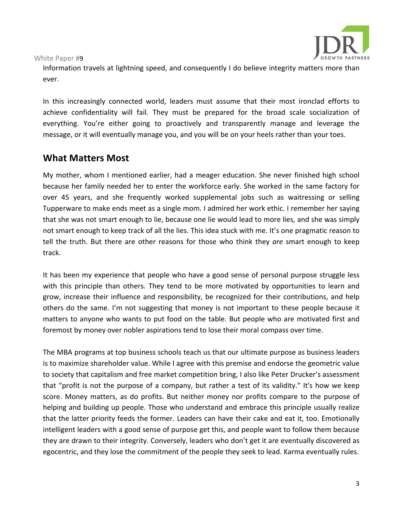

Information travels at lightning speed, and consequently I do believe integrity matters more than ever.

In this increasingly connected world, leaders must assume that their most ironclad efforts to achieve confidentiality will fail. They must be prepared for the broad scale socialization of everything. You're either going to proactively and transparently manage and leverage the message, or it will eventually manage you, and you will be on your heels rather than your toes.

### **What Matters Most**

My mother, whom I mentioned earlier, had a meager education. She never finished high school because her family needed her to enter the workforce early. She worked in the same factory for over 45 years, and she frequently worked supplemental jobs such as waitressing or selling Tupperware to make ends meet as a single mom. I admired her work ethic. I remember her saying that she was not smart enough to lie, because one lie would lead to more lies, and she was simply not smart enough to keep track of all the lies. This idea stuck with me. It's one pragmatic reason to tell the truth. But there are other reasons for those who think they are smart enough to keep track.

It has been my experience that people who have a good sense of personal purpose struggle less with this principle than others. They tend to be more motivated by opportunities to learn and grow, increase their influence and responsibility, be recognized for their contributions, and help others do the same. I'm not suggesting that money is not important to these people because it matters to anyone who wants to put food on the table. But people who are motivated first and foremost by money over nobler aspirations tend to lose their moral compass over time.

The MBA programs at top business schools teach us that our ultimate purpose as business leaders is to maximize shareholder value. While I agree with this premise and endorse the geometric value to society that capitalism and free market competition bring, I also like Peter Drucker's assessment that "profit is not the purpose of a company, but rather a test of its validity." It's how we keep score. Money matters, as do profits. But neither money nor profits compare to the purpose of helping and building up people. Those who understand and embrace this principle usually realize that the latter priority feeds the former. Leaders can have their cake and eat it, too. Emotionally intelligent leaders with a good sense of purpose get this, and people want to follow them because they are drawn to their integrity. Conversely, leaders who don't get it are eventually discovered as egocentric, and they lose the commitment of the people they seek to lead. Karma eventually rules.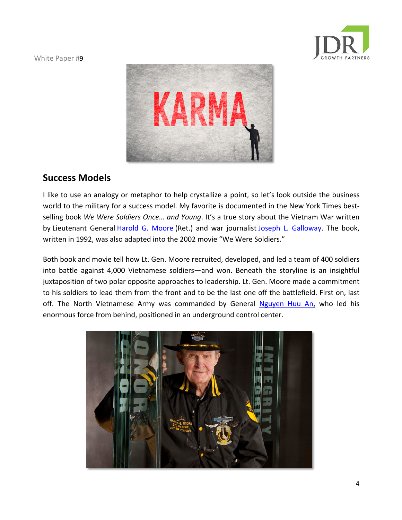



### **Success Models**

I like to use an analogy or metaphor to help crystallize a point, so let's look outside the business world to the military for a success model. My favorite is documented in the New York Times bestselling book We Were Soldiers Once... and Young. It's a true story about the Vietnam War written by Lieutenant General Harold G. Moore (Ret.) and war journalist Joseph L. Galloway. The book, written in 1992, was also adapted into the 2002 movie "We Were Soldiers."

Both book and movie tell how Lt. Gen. Moore recruited, developed, and led a team of 400 soldiers into battle against 4,000 Vietnamese soldiers—and won. Beneath the storyline is an insightful juxtaposition of two polar opposite approaches to leadership. Lt. Gen. Moore made a commitment to his soldiers to lead them from the front and to be the last one off the battlefield. First on, last off. The North Vietnamese Army was commanded by General Nguyen Huu An, who led his enormous force from behind, positioned in an underground control center.

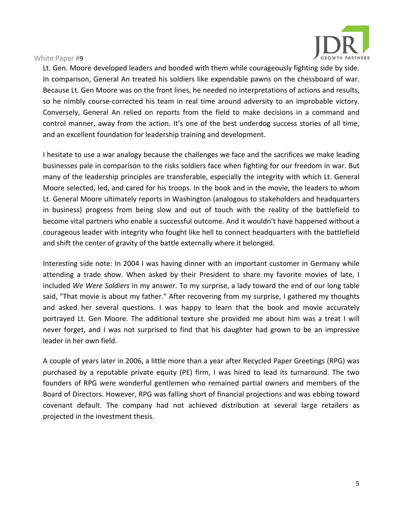

Lt. Gen. Moore developed leaders and bonded with them while courageously fighting side by side. In comparison, General An treated his soldiers like expendable pawns on the chessboard of war. Because Lt. Gen Moore was on the front lines, he needed no interpretations of actions and results, so he nimbly course-corrected his team in real time around adversity to an improbable victory. Conversely, General An relied on reports from the field to make decisions in a command and control manner, away from the action. It's one of the best underdog success stories of all time, and an excellent foundation for leadership training and development.

I hesitate to use a war analogy because the challenges we face and the sacrifices we make leading businesses pale in comparison to the risks soldiers face when fighting for our freedom in war. But many of the leadership principles are transferable, especially the integrity with which Lt. General Moore selected, led, and cared for his troops. In the book and in the movie, the leaders to whom Lt. General Moore ultimately reports in Washington (analogous to stakeholders and headquarters in business) progress from being slow and out of touch with the reality of the battlefield to become vital partners who enable a successful outcome. And it wouldn't have happened without a courageous leader with integrity who fought like hell to connect headquarters with the battlefield and shift the center of gravity of the battle externally where it belonged.

Interesting side note: In 2004 I was having dinner with an important customer in Germany while attending a trade show. When asked by their President to share my favorite movies of late, I included *We Were Soldiers* in my answer. To my surprise, a lady toward the end of our long table said, "That movie is about my father." After recovering from my surprise, I gathered my thoughts and asked her several questions. I was happy to learn that the book and movie accurately portrayed Lt. Gen Moore. The additional texture she provided me about him was a treat I will never forget, and I was not surprised to find that his daughter had grown to be an impressive leader in her own field.

A couple of years later in 2006, a little more than a year after Recycled Paper Greetings (RPG) was purchased by a reputable private equity (PE) firm, I was hired to lead its turnaround. The two founders of RPG were wonderful gentlemen who remained partial owners and members of the Board of Directors. However, RPG was falling short of financial projections and was ebbing toward covenant default. The company had not achieved distribution at several large retailers as projected in the investment thesis.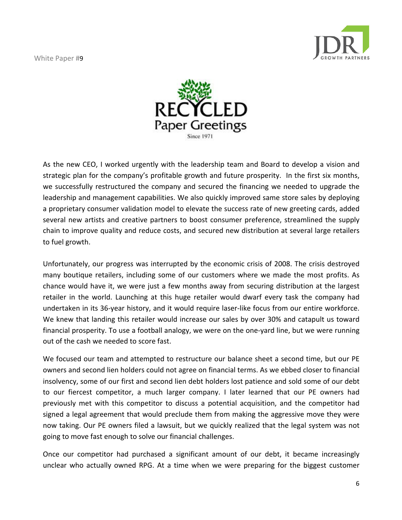



As the new CEO, I worked urgently with the leadership team and Board to develop a vision and strategic plan for the company's profitable growth and future prosperity. In the first six months, we successfully restructured the company and secured the financing we needed to upgrade the leadership and management capabilities. We also quickly improved same store sales by deploying a proprietary consumer validation model to elevate the success rate of new greeting cards, added several new artists and creative partners to boost consumer preference, streamlined the supply chain to improve quality and reduce costs, and secured new distribution at several large retailers to fuel growth.

Unfortunately, our progress was interrupted by the economic crisis of 2008. The crisis destroyed many boutique retailers, including some of our customers where we made the most profits. As chance would have it, we were just a few months away from securing distribution at the largest retailer in the world. Launching at this huge retailer would dwarf every task the company had undertaken in its 36-year history, and it would require laser-like focus from our entire workforce. We knew that landing this retailer would increase our sales by over 30% and catapult us toward financial prosperity. To use a football analogy, we were on the one-yard line, but we were running out of the cash we needed to score fast.

We focused our team and attempted to restructure our balance sheet a second time, but our PE owners and second lien holders could not agree on financial terms. As we ebbed closer to financial insolvency, some of our first and second lien debt holders lost patience and sold some of our debt to our fiercest competitor, a much larger company. I later learned that our PE owners had previously met with this competitor to discuss a potential acquisition, and the competitor had signed a legal agreement that would preclude them from making the aggressive move they were now taking. Our PE owners filed a lawsuit, but we quickly realized that the legal system was not going to move fast enough to solve our financial challenges.

Once our competitor had purchased a significant amount of our debt, it became increasingly unclear who actually owned RPG. At a time when we were preparing for the biggest customer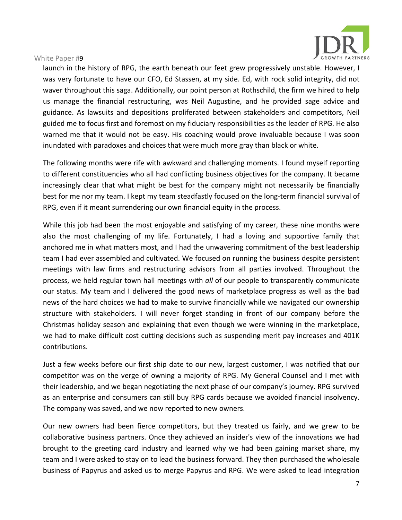

launch in the history of RPG, the earth beneath our feet grew progressively unstable. However, I was very fortunate to have our CFO, Ed Stassen, at my side. Ed, with rock solid integrity, did not waver throughout this saga. Additionally, our point person at Rothschild, the firm we hired to help us manage the financial restructuring, was Neil Augustine, and he provided sage advice and guidance. As lawsuits and depositions proliferated between stakeholders and competitors, Neil guided me to focus first and foremost on my fiduciary responsibilities as the leader of RPG. He also warned me that it would not be easy. His coaching would prove invaluable because I was soon inundated with paradoxes and choices that were much more gray than black or white.

The following months were rife with awkward and challenging moments. I found myself reporting to different constituencies who all had conflicting business objectives for the company. It became increasingly clear that what might be best for the company might not necessarily be financially best for me nor my team. I kept my team steadfastly focused on the long-term financial survival of RPG, even if it meant surrendering our own financial equity in the process.

While this job had been the most enjoyable and satisfying of my career, these nine months were also the most challenging of my life. Fortunately, I had a loving and supportive family that anchored me in what matters most, and I had the unwavering commitment of the best leadership team I had ever assembled and cultivated. We focused on running the business despite persistent meetings with law firms and restructuring advisors from all parties involved. Throughout the process, we held regular town hall meetings with *all* of our people to transparently communicate our status. My team and I delivered the good news of marketplace progress as well as the bad news of the hard choices we had to make to survive financially while we navigated our ownership structure with stakeholders. I will never forget standing in front of our company before the Christmas holiday season and explaining that even though we were winning in the marketplace, we had to make difficult cost cutting decisions such as suspending merit pay increases and 401K contributions.

Just a few weeks before our first ship date to our new, largest customer, I was notified that our competitor was on the verge of owning a majority of RPG. My General Counsel and I met with their leadership, and we began negotiating the next phase of our company's journey. RPG survived as an enterprise and consumers can still buy RPG cards because we avoided financial insolvency. The company was saved, and we now reported to new owners.

Our new owners had been fierce competitors, but they treated us fairly, and we grew to be collaborative business partners. Once they achieved an insider's view of the innovations we had brought to the greeting card industry and learned why we had been gaining market share, my team and I were asked to stay on to lead the business forward. They then purchased the wholesale business of Papyrus and asked us to merge Papyrus and RPG. We were asked to lead integration